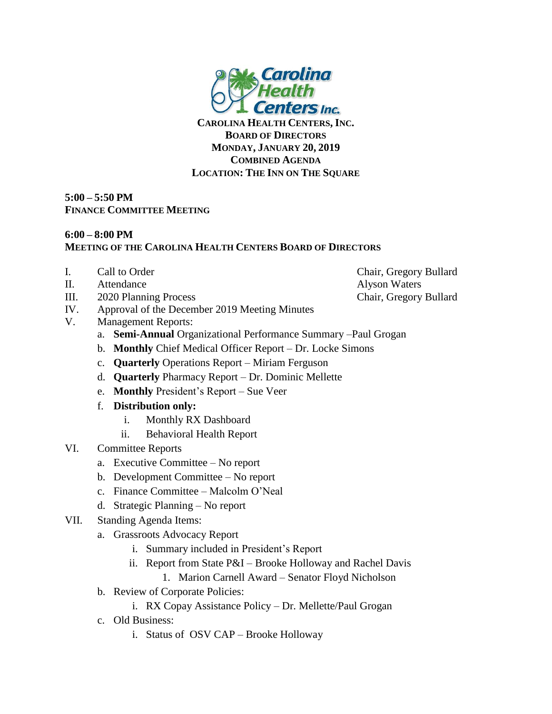

**CAROLINA HEALTH CENTERS, INC. BOARD OF DIRECTORS MONDAY, JANUARY 20, 2019 COMBINED AGENDA LOCATION: THE INN ON THE SQUARE**

## **5:00 – 5:50 PM FINANCE COMMITTEE MEETING**

## **6:00 – 8:00 PM MEETING OF THE CAROLINA HEALTH CENTERS BOARD OF DIRECTORS**

- 
- II. Attendance Alyson Waters
- III. 2020 Planning Process Chair, Gregory Bullard
- IV. Approval of the December 2019 Meeting Minutes
- V. Management Reports:
	- a. **Semi-Annual** Organizational Performance Summary –Paul Grogan
	- b. **Monthly** Chief Medical Officer Report Dr. Locke Simons
	- c. **Quarterly** Operations Report Miriam Ferguson
	- d. **Quarterly** Pharmacy Report Dr. Dominic Mellette
	- e. **Monthly** President's Report Sue Veer
	- f. **Distribution only:**
		- i. Monthly RX Dashboard
		- ii. Behavioral Health Report

## VI. Committee Reports

- a. Executive Committee No report
- b. Development Committee No report
- c. Finance Committee Malcolm O'Neal
- d. Strategic Planning No report
- VII. Standing Agenda Items:
	- a. Grassroots Advocacy Report
		- i. Summary included in President's Report
		- ii. Report from State P&I Brooke Holloway and Rachel Davis
			- 1. Marion Carnell Award Senator Floyd Nicholson
	- b. Review of Corporate Policies:
		- i. RX Copay Assistance Policy Dr. Mellette/Paul Grogan
	- c. Old Business:
		- i. Status of OSV CAP Brooke Holloway

I. Call to Order Chair, Gregory Bullard